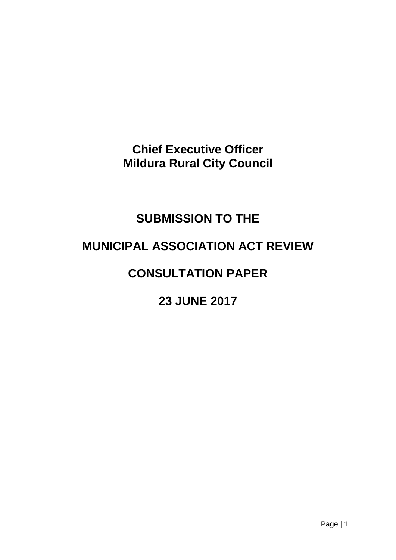**Chief Executive Officer Mildura Rural City Council**

# **SUBMISSION TO THE**

# **MUNICIPAL ASSOCIATION ACT REVIEW**

# **CONSULTATION PAPER**

# **23 JUNE 2017**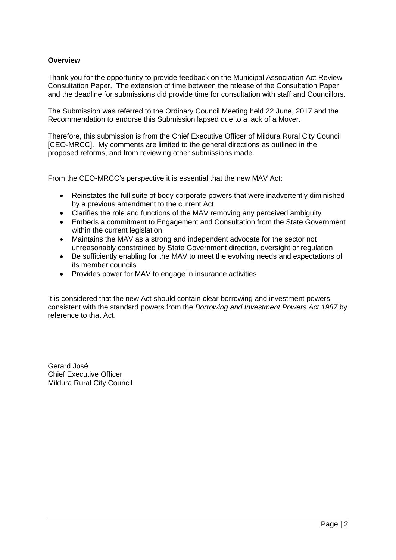## **Overview**

Thank you for the opportunity to provide feedback on the Municipal Association Act Review Consultation Paper. The extension of time between the release of the Consultation Paper and the deadline for submissions did provide time for consultation with staff and Councillors.

The Submission was referred to the Ordinary Council Meeting held 22 June, 2017 and the Recommendation to endorse this Submission lapsed due to a lack of a Mover.

Therefore, this submission is from the Chief Executive Officer of Mildura Rural City Council [CEO-MRCC]. My comments are limited to the general directions as outlined in the proposed reforms, and from reviewing other submissions made.

From the CEO-MRCC's perspective it is essential that the new MAV Act:

- Reinstates the full suite of body corporate powers that were inadvertently diminished by a previous amendment to the current Act
- Clarifies the role and functions of the MAV removing any perceived ambiguity
- Embeds a commitment to Engagement and Consultation from the State Government within the current legislation
- Maintains the MAV as a strong and independent advocate for the sector not unreasonably constrained by State Government direction, oversight or regulation
- Be sufficiently enabling for the MAV to meet the evolving needs and expectations of its member councils
- Provides power for MAV to engage in insurance activities

It is considered that the new Act should contain clear borrowing and investment powers consistent with the standard powers from the *Borrowing and Investment Powers Act 1987* by reference to that Act.

Gerard José Chief Executive Officer Mildura Rural City Council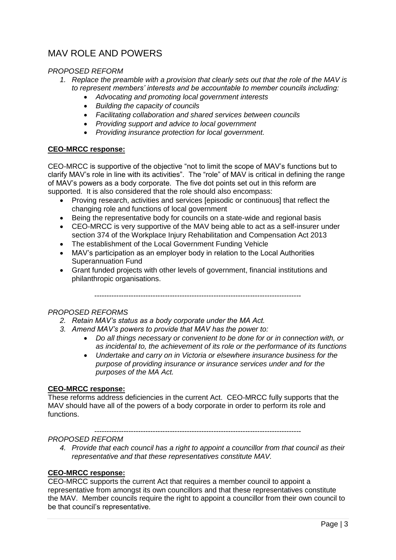# MAV ROLE AND POWERS

#### *PROPOSED REFORM*

- *1. Replace the preamble with a provision that clearly sets out that the role of the MAV is to represent members' interests and be accountable to member councils including:*
	- *Advocating and promoting local government interests*
	- *Building the capacity of councils*
	- *Facilitating collaboration and shared services between councils*
	- *Providing support and advice to local government*
	- *Providing insurance protection for local government.*

#### **CEO-MRCC response:**

CEO-MRCC is supportive of the objective "not to limit the scope of MAV's functions but to clarify MAV's role in line with its activities". The "role" of MAV is critical in defining the range of MAV's powers as a body corporate. The five dot points set out in this reform are supported. It is also considered that the role should also encompass:

- Proving research, activities and services [episodic or continuous] that reflect the changing role and functions of local government
- Being the representative body for councils on a state-wide and regional basis
- CEO-MRCC is very supportive of the MAV being able to act as a self-insurer under section 374 of the Workplace Injury Rehabilitation and Compensation Act 2013
- The establishment of the Local Government Funding Vehicle
- MAV's participation as an employer body in relation to the Local Authorities Superannuation Fund
- Grant funded projects with other levels of government, financial institutions and philanthropic organisations.

-------------------------------------------------------------------------------------

## *PROPOSED REFORMS*

- *2. Retain MAV's status as a body corporate under the MA Act.*
- *3. Amend MAV's powers to provide that MAV has the power to:*
	- *Do all things necessary or convenient to be done for or in connection with, or as incidental to, the achievement of its role or the performance of its functions*
	- *Undertake and carry on in Victoria or elsewhere insurance business for the purpose of providing insurance or insurance services under and for the purposes of the MA Act.*

#### **CEO-MRCC response:**

These reforms address deficiencies in the current Act. CEO-MRCC fully supports that the MAV should have all of the powers of a body corporate in order to perform its role and functions.

-------------------------------------------------------------------------------------

#### *PROPOSED REFORM*

*4. Provide that each council has a right to appoint a councillor from that council as their representative and that these representatives constitute MAV.*

#### **CEO-MRCC response:**

CEO-MRCC supports the current Act that requires a member council to appoint a representative from amongst its own councillors and that these representatives constitute the MAV. Member councils require the right to appoint a councillor from their own council to be that council's representative.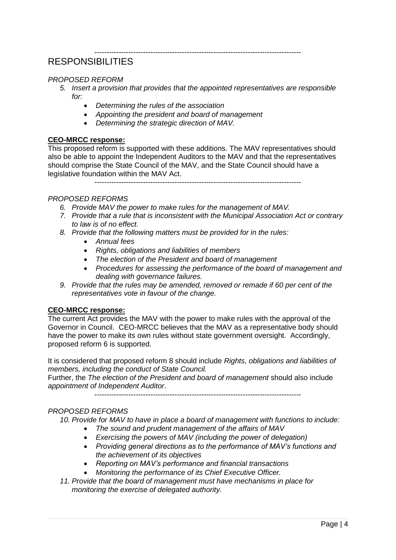# RESPONSIBILITIES

### *PROPOSED REFORM*

*5. Insert a provision that provides that the appointed representatives are responsible for:*

-------------------------------------------------------------------------------------

- *Determining the rules of the association*
- *Appointing the president and board of management*
- *Determining the strategic direction of MAV.*

#### **CEO-MRCC response:**

This proposed reform is supported with these additions. The MAV representatives should also be able to appoint the Independent Auditors to the MAV and that the representatives should comprise the State Council of the MAV, and the State Council should have a legislative foundation within the MAV Act.

-------------------------------------------------------------------------------------

#### *PROPOSED REFORMS*

- *6. Provide MAV the power to make rules for the management of MAV.*
- *7. Provide that a rule that is inconsistent with the Municipal Association Act or contrary to law is of no effect.*
- *8. Provide that the following matters must be provided for in the rules:*
	- *Annual fees*
	- *Rights, obligations and liabilities of members*
	- *The election of the President and board of management*
	- *Procedures for assessing the performance of the board of management and dealing with governance failures.*
- *9. Provide that the rules may be amended, removed or remade if 60 per cent of the representatives vote in favour of the change.*

#### **CEO-MRCC response:**

The current Act provides the MAV with the power to make rules with the approval of the Governor in Council. CEO-MRCC believes that the MAV as a representative body should have the power to make its own rules without state government oversight. Accordingly, proposed reform 6 is supported.

It is considered that proposed reform 8 should include *Rights, obligations and liabilities of members, including the conduct of State Council.* 

Further, the *The election of the President and board of management* should also include *appointment of Independent Auditor*.

-------------------------------------------------------------------------------------

## *PROPOSED REFORMS*

*10. Provide for MAV to have in place a board of management with functions to include:*

- *The sound and prudent management of the affairs of MAV*
- *Exercising the powers of MAV (including the power of delegation)*
- *Providing general directions as to the performance of MAV's functions and the achievement of its objectives*
- *Reporting on MAV's performance and financial transactions*
- *Monitoring the performance of its Chief Executive Officer.*
- *11. Provide that the board of management must have mechanisms in place for monitoring the exercise of delegated authority.*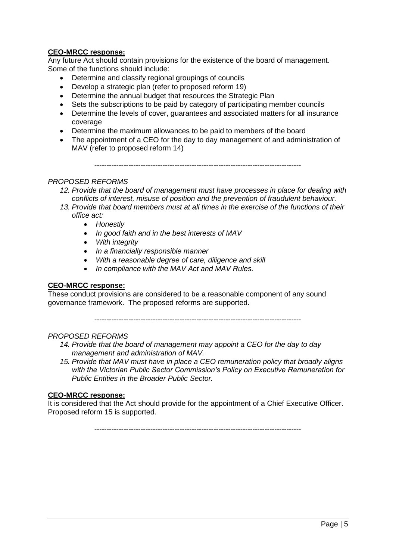## **CEO-MRCC response:**

Any future Act should contain provisions for the existence of the board of management. Some of the functions should include:

- Determine and classify regional groupings of councils
- Develop a strategic plan (refer to proposed reform 19)
- Determine the annual budget that resources the Strategic Plan
- Sets the subscriptions to be paid by category of participating member councils
- Determine the levels of cover, quarantees and associated matters for all insurance coverage
- Determine the maximum allowances to be paid to members of the board
- The appointment of a CEO for the day to day management of and administration of MAV (refer to proposed reform 14)

-------------------------------------------------------------------------------------

#### *PROPOSED REFORMS*

- *12. Provide that the board of management must have processes in place for dealing with conflicts of interest, misuse of position and the prevention of fraudulent behaviour.*
- *13. Provide that board members must at all times in the exercise of the functions of their office act:*
	- *Honestly*
	- *In good faith and in the best interests of MAV*
	- *With integrity*
	- *In a financially responsible manner*
	- *With a reasonable degree of care, diligence and skill*
	- *In compliance with the MAV Act and MAV Rules.*

#### **CEO-MRCC response:**

These conduct provisions are considered to be a reasonable component of any sound governance framework. The proposed reforms are supported.

-------------------------------------------------------------------------------------

#### *PROPOSED REFORMS*

- *14. Provide that the board of management may appoint a CEO for the day to day management and administration of MAV.*
- *15. Provide that MAV must have in place a CEO remuneration policy that broadly aligns with the Victorian Public Sector Commission's Policy on Executive Remuneration for Public Entities in the Broader Public Sector.*

#### **CEO-MRCC response:**

It is considered that the Act should provide for the appointment of a Chief Executive Officer. Proposed reform 15 is supported.

-------------------------------------------------------------------------------------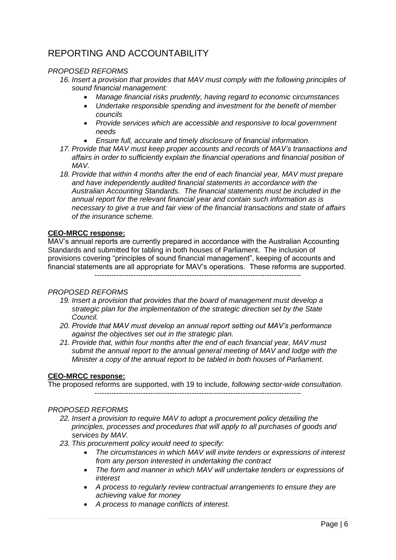# REPORTING AND ACCOUNTABILITY

#### *PROPOSED REFORMS*

- *16. Insert a provision that provides that MAV must comply with the following principles of sound financial management:*
	- *Manage financial risks prudently, having regard to economic circumstances*
	- *Undertake responsible spending and investment for the benefit of member councils*
	- *Provide services which are accessible and responsive to local government needs*
	- *Ensure full, accurate and timely disclosure of financial information.*
- *17. Provide that MAV must keep proper accounts and records of MAV's transactions and affairs in order to sufficiently explain the financial operations and financial position of MAV.*
- *18. Provide that within 4 months after the end of each financial year, MAV must prepare and have independently audited financial statements in accordance with the Australian Accounting Standards. The financial statements must be included in the annual report for the relevant financial year and contain such information as is necessary to give a true and fair view of the financial transactions and state of affairs of the insurance scheme.*

#### **CEO-MRCC response:**

MAV's annual reports are currently prepared in accordance with the Australian Accounting Standards and submitted for tabling in both houses of Parliament. The inclusion of provisions covering "principles of sound financial management", keeping of accounts and financial statements are all appropriate for MAV's operations. These reforms are supported. -------------------------------------------------------------------------------------

#### *PROPOSED REFORMS*

- *19. Insert a provision that provides that the board of management must develop a strategic plan for the implementation of the strategic direction set by the State Council.*
- *20. Provide that MAV must develop an annual report setting out MAV's performance against the objectives set out in the strategic plan.*
- *21. Provide that, within four months after the end of each financial year, MAV must submit the annual report to the annual general meeting of MAV and lodge with the Minister a copy of the annual report to be tabled in both houses of Parliament.*

#### **CEO-MRCC response:**

The proposed reforms are supported, with 19 to include, *following sector-wide consultation*. -------------------------------------------------------------------------------------

#### *PROPOSED REFORMS*

- *22. Insert a provision to require MAV to adopt a procurement policy detailing the principles, processes and procedures that will apply to all purchases of goods and services by MAV.*
- *23. This procurement policy would need to specify:*
	- *The circumstances in which MAV will invite tenders or expressions of interest from any person interested in undertaking the contract*
	- *The form and manner in which MAV will undertake tenders or expressions of interest*
	- *A process to regularly review contractual arrangements to ensure they are achieving value for money*
	- *A process to manage conflicts of interest.*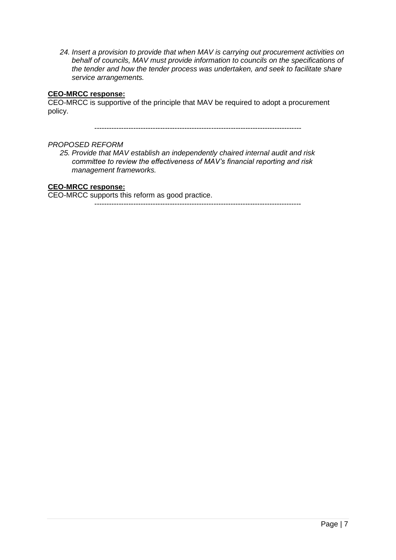*24. Insert a provision to provide that when MAV is carrying out procurement activities on behalf of councils, MAV must provide information to councils on the specifications of the tender and how the tender process was undertaken, and seek to facilitate share service arrangements.*

#### **CEO-MRCC response:**

CEO-MRCC is supportive of the principle that MAV be required to adopt a procurement policy.

-------------------------------------------------------------------------------------

#### *PROPOSED REFORM*

*25. Provide that MAV establish an independently chaired internal audit and risk committee to review the effectiveness of MAV's financial reporting and risk management frameworks.*

## **CEO-MRCC response:**

CEO-MRCC supports this reform as good practice.

-------------------------------------------------------------------------------------